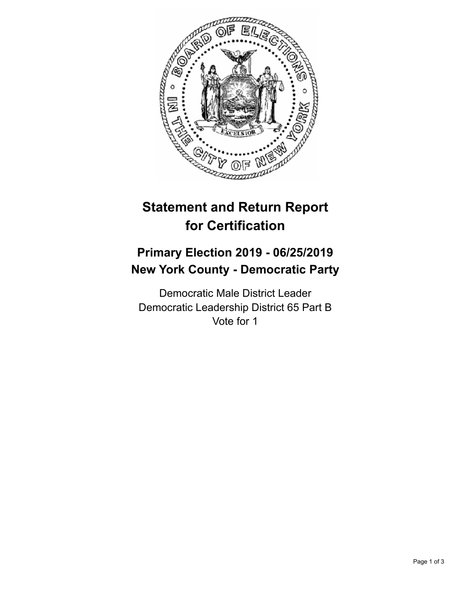

## **Statement and Return Report for Certification**

## **Primary Election 2019 - 06/25/2019 New York County - Democratic Party**

Democratic Male District Leader Democratic Leadership District 65 Part B Vote for 1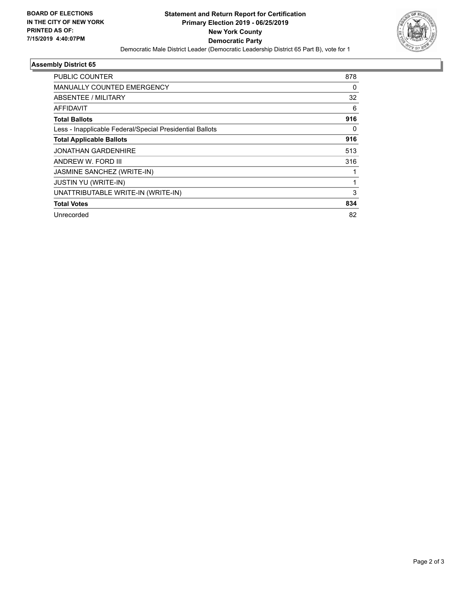

## **Assembly District 65**

| <b>PUBLIC COUNTER</b>                                    | 878 |
|----------------------------------------------------------|-----|
| <b>MANUALLY COUNTED EMERGENCY</b>                        | 0   |
| ABSENTEE / MILITARY                                      | 32  |
| AFFIDAVIT                                                | 6   |
| <b>Total Ballots</b>                                     | 916 |
| Less - Inapplicable Federal/Special Presidential Ballots | 0   |
| <b>Total Applicable Ballots</b>                          | 916 |
| <b>JONATHAN GARDENHIRE</b>                               | 513 |
| ANDREW W. FORD III                                       | 316 |
| JASMINE SANCHEZ (WRITE-IN)                               |     |
| <b>JUSTIN YU (WRITE-IN)</b>                              | 1   |
| UNATTRIBUTABLE WRITE-IN (WRITE-IN)                       | 3   |
| <b>Total Votes</b>                                       | 834 |
| Unrecorded                                               | 82  |